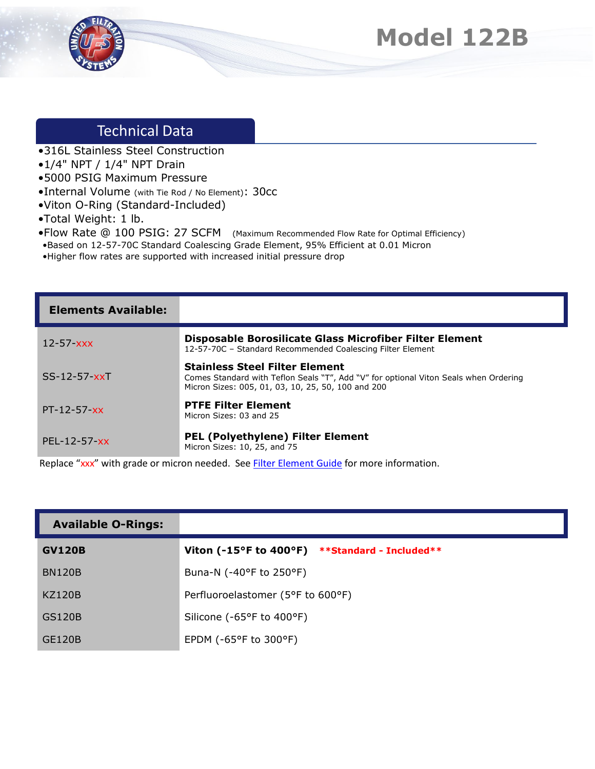



## Technical Data

- •316L Stainless Steel Construction
- •1/4" NPT / 1/4" NPT Drain
- •5000 PSIG Maximum Pressure
- •Internal Volume (with Tie Rod / No Element): 30cc
- •Viton O-Ring (Standard-Included)
- •Total Weight: 1 lb.
- •Flow Rate @ 100 PSIG: 27 SCFM (Maximum Recommended Flow Rate for Optimal Efficiency)
- •Based on 12-57-70C Standard Coalescing Grade Element, 95% Efficient at 0.01 Micron
- •Higher flow rates are supported with increased initial pressure drop

| <b>Elements Available:</b> |                                                                                                                                                                                     |
|----------------------------|-------------------------------------------------------------------------------------------------------------------------------------------------------------------------------------|
| $12 - 57 - xxx$            | Disposable Borosilicate Glass Microfiber Filter Element<br>12-57-70C - Standard Recommended Coalescing Filter Element                                                               |
| $SS-12-57-xxT$             | <b>Stainless Steel Filter Element</b><br>Comes Standard with Teflon Seals "T", Add "V" for optional Viton Seals when Ordering<br>Micron Sizes: 005, 01, 03, 10, 25, 50, 100 and 200 |
| $PT-12-57-xx$              | <b>PTFE Filter Element</b><br>Micron Sizes: 03 and 25                                                                                                                               |
| $PEL - 12 - 57 - xx$       | <b>PEL (Polyethylene) Filter Element</b><br>Micron Sizes: 10, 25, and 75                                                                                                            |

Replace "xxx" with grade or micron needed. See **Filter Element Guide** for more information.

| <b>Available O-Rings:</b> |                                                   |
|---------------------------|---------------------------------------------------|
| <b>GV120B</b>             | Viton (-15°F to 400°F) $**$ Standard - Included** |
| <b>BN120B</b>             | Buna-N (-40°F to 250°F)                           |
| <b>KZ120B</b>             | Perfluoroelastomer (5°F to 600°F)                 |
| <b>GS120B</b>             | Silicone (-65°F to 400°F)                         |
| <b>GE120B</b>             | EPDM ( $-65^{\circ}$ F to 300 $^{\circ}$ F)       |